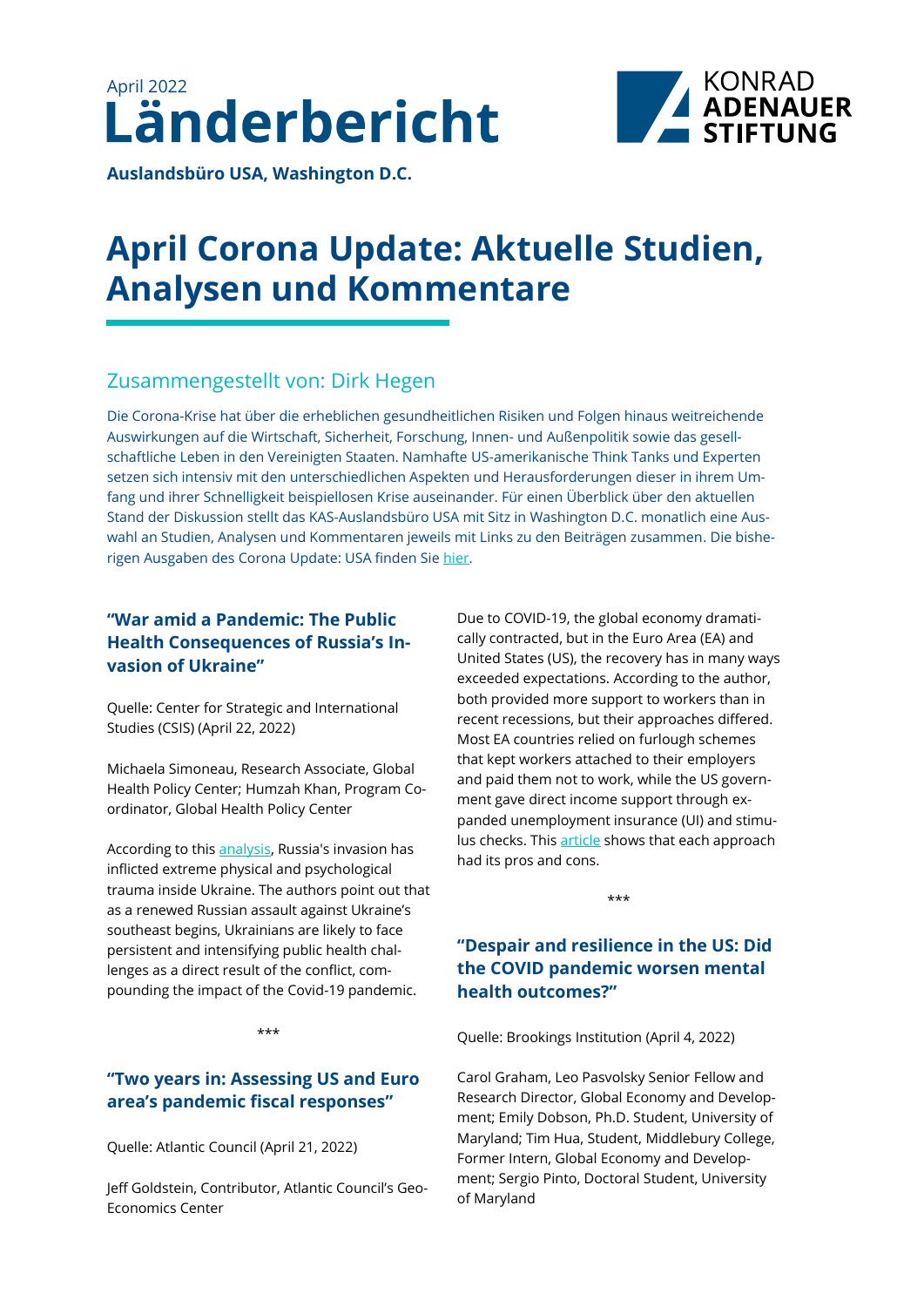



**Auslandsbüro USA, Washington D.C.** 

# **April Corona Update: Aktuelle Studien, Analysen und Kommentare**

# Zusammengestellt von: Dirk Hegen

Die Corona-Krise hat über die erheblichen gesundheitlichen Risiken und Folgen hinaus weitreichende Auswirkungen auf die Wirtschaft, Sicherheit, Forschung, Innen- und Außenpolitik sowie das gesellschaftliche Leben in den Vereinigten Staaten. Namhafte US-amerikanische Think Tanks und Experten setzen sich intensiv mit den unterschiedlichen Aspekten und Herausforderungen dieser in ihrem Umfang und ihrer Schnelligkeit beispiellosen Krise auseinander. Für einen Überblick über den aktuellen Stand der Diskussion stellt das KAS-Auslandsbüro USA mit Sitz in Washington D.C. monatlich eine Auswahl an Studien, Analysen und Kommentaren jeweils mit Links zu den Beiträgen zusammen. Die bisherigen Ausgaben des Corona Update: USA finden Sie [hier.](https://www.kas.de/de/web/usa/publikationen)

# **"War amid a Pandemic: The Public Health Consequences of Russia's Invasion of Ukraine"**

Quelle: Center for Strategic and International Studies (CSIS) (April 22, 2022)

Michaela Simoneau, Research Associate, Global Health Policy Center; Humzah Khan, Program Coordinator, Global Health Policy Center

According to this [analysis,](https://www.csis.org/analysis/war-amid-pandemic-public-health-consequences-russias-invasion-ukraine) Russia's invasion has inflicted extreme physical and psychological trauma inside Ukraine. The authors point out that as a renewed Russian assault against Ukraine's southeast begins, Ukrainians are likely to face persistent and intensifying public health challenges as a direct result of the conflict, compounding the impact of the Covid-19 pandemic.

\*\*\*

# **"Two years in: Assessing US and Euro area's pandemic fiscal responses"**

Quelle: Atlantic Council (April 21, 2022)

Jeff Goldstein, Contributor, Atlantic Council's Geo-Economics Center

Due to COVID-19, the global economy dramatically contracted, but in the Euro Area (EA) and United States (US), the recovery has in many ways exceeded expectations. According to the author, both provided more support to workers than in recent recessions, but their approaches differed. Most EA countries relied on furlough schemes that kept workers attached to their employers and paid them not to work, while the US government gave direct income support through expanded unemployment insurance (UI) and stimulus checks. This [article](https://www.atlanticcouncil.org/blogs/econographics/two-years-in-assessing-us-and-euro-areas-pandemic-fiscal-responses/) shows that each approach had its pros and cons.

\*\*\*

# **"Despair and resilience in the US: Did the COVID pandemic worsen mental health outcomes?"**

Quelle: Brookings Institution (April 4, 2022)

Carol Graham, Leo Pasvolsky Senior Fellow and Research Director, Global Economy and Development; Emily Dobson, Ph.D. Student, University of Maryland; Tim Hua, Student, Middlebury College, Former Intern, Global Economy and Development; Sergio Pinto, Doctoral Student, University of Maryland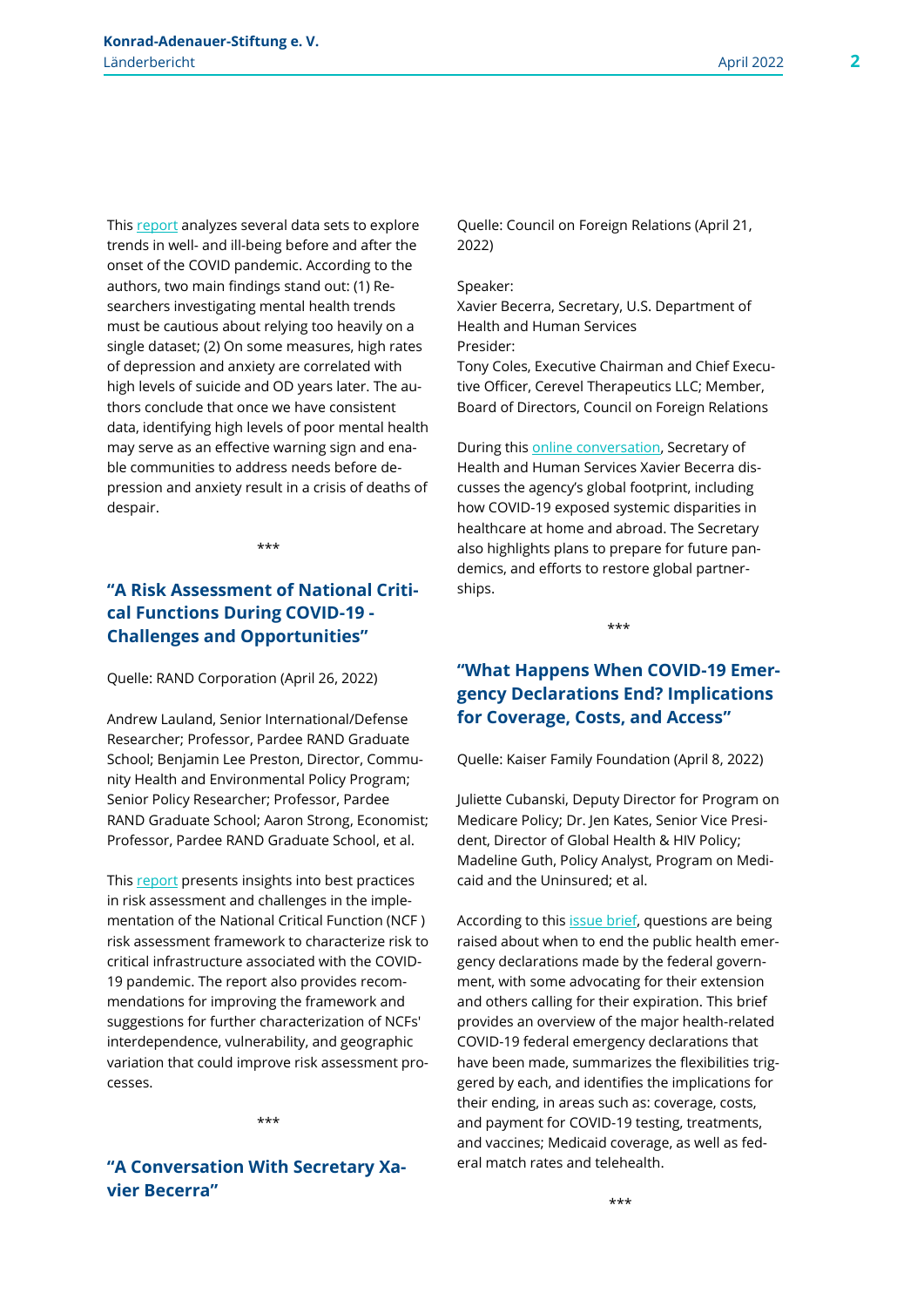2

This [report](https://www.brookings.edu/research/despair-and-resilience-in-the-us-did-the-covid-pandemic-worsen-mental-health-outcomes/) analyzes several data sets to explore trends in well- and ill-being before and after the onset of the COVID pandemic. According to the authors, two main findings stand out: (1) Researchers investigating mental health trends must be cautious about relying too heavily on a single dataset; (2) On some measures, high rates of depression and anxiety are correlated with high levels of suicide and OD years later. The authors conclude that once we have consistent data, identifying high levels of poor mental health may serve as an effective warning sign and enable communities to address needs before depression and anxiety result in a crisis of deaths of despair.

\*\*\*

# **"A Risk Assessment of National Critical Functions During COVID-19 - Challenges and Opportunities"**

Quelle: RAND Corporation (April 26, 2022)

Andrew Lauland, Senior International/Defense Researcher; Professor, Pardee RAND Graduate School; Benjamin Lee Preston, Director, Community Health and Environmental Policy Program; Senior Policy Researcher; Professor, Pardee RAND Graduate School; Aaron Strong, Economist; Professor, Pardee RAND Graduate School, et al.

This [report](https://www.rand.org/pubs/research_reports/RRA210-1.html) presents insights into best practices in risk assessment and challenges in the implementation of the National Critical Function (NCF ) risk assessment framework to characterize risk to critical infrastructure associated with the COVID-19 pandemic. The report also provides recommendations for improving the framework and suggestions for further characterization of NCFs' interdependence, vulnerability, and geographic variation that could improve risk assessment processes.

\*\*\*

**"A Conversation With Secretary Xavier Becerra"**

Quelle: Council on Foreign Relations (April 21, 2022)

#### Speaker:

Xavier Becerra, Secretary, U.S. Department of Health and Human Services Presider:

Tony Coles, Executive Chairman and Chief Executive Officer, Cerevel Therapeutics LLC; Member, Board of Directors, Council on Foreign Relations

During this [online conversation,](https://www.cfr.org/event/conversation-secretary-xavier-becerra-0) Secretary of Health and Human Services Xavier Becerra discusses the agency's global footprint, including how COVID-19 exposed systemic disparities in healthcare at home and abroad. The Secretary also highlights plans to prepare for future pandemics, and efforts to restore global partnerships.

\*\*\*

## **"What Happens When COVID-19 Emergency Declarations End? Implications for Coverage, Costs, and Access"**

Quelle: Kaiser Family Foundation (April 8, 2022)

Juliette Cubanski, Deputy Director for Program on Medicare Policy; Dr. Jen Kates, Senior Vice President, Director of Global Health & HIV Policy; Madeline Guth, Policy Analyst, Program on Medicaid and the Uninsured; et al.

According to this **issue brief**, questions are being raised about when to end the public health emergency declarations made by the federal government, with some advocating for their extension and others calling for their expiration. This brief provides an overview of the major health-related COVID-19 federal emergency declarations that have been made, summarizes the flexibilities triggered by each, and identifies the implications for their ending, in areas such as: coverage, costs, and payment for COVID-19 testing, treatments, and vaccines; Medicaid coverage, as well as federal match rates and telehealth.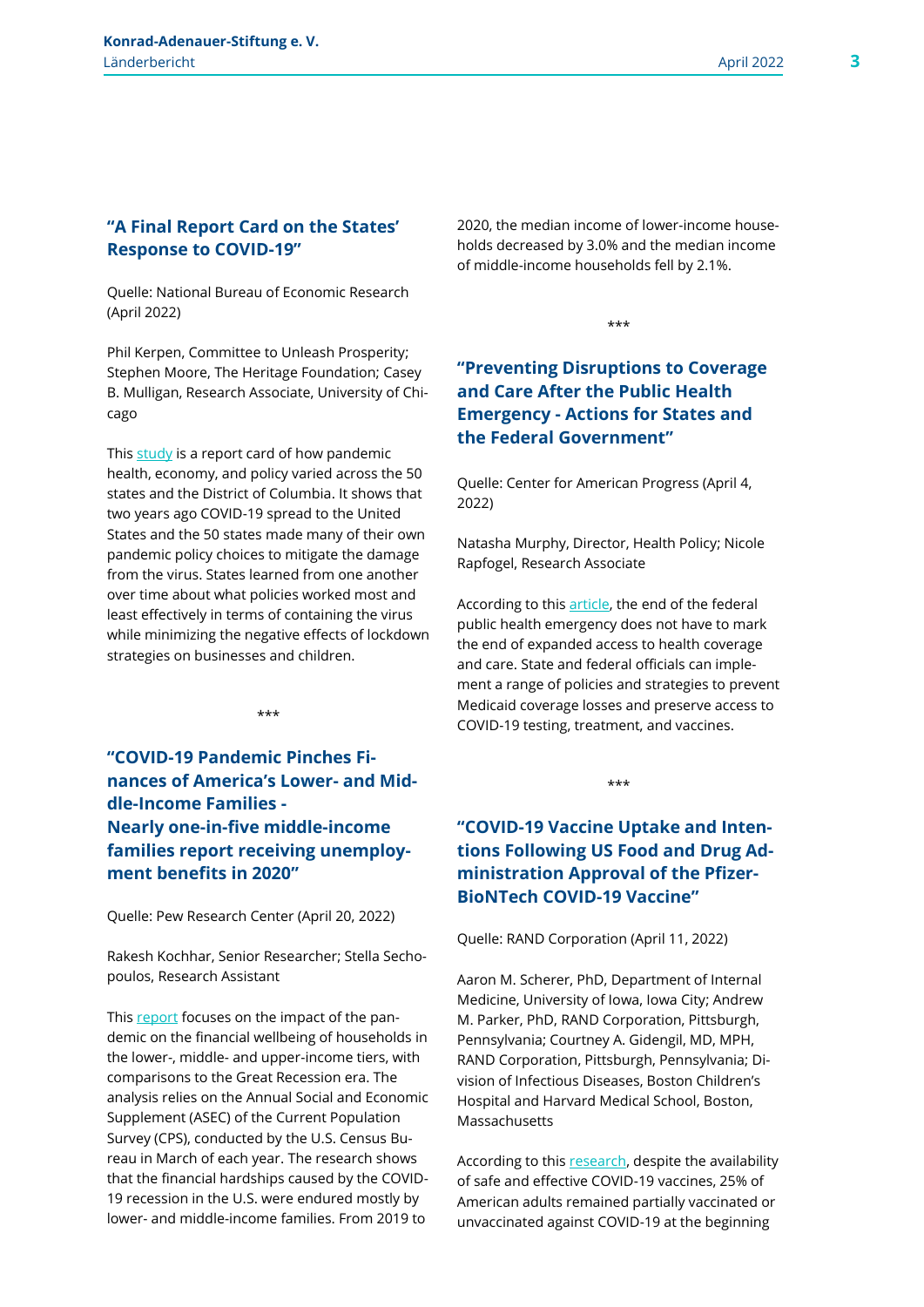3

### **"A Final Report Card on the States' Response to COVID-19"**

Quelle: National Bureau of Economic Research (April 2022)

Phil Kerpen, Committee to Unleash Prosperity; Stephen Moore, The Heritage Foundation; Casey B. Mulligan, Research Associate, University of Chicago

This [study](https://www.nber.org/papers/w29928) is a report card of how pandemic health, economy, and policy varied across the 50 states and the District of Columbia. It shows that two years ago COVID-19 spread to the United States and the 50 states made many of their own pandemic policy choices to mitigate the damage from the virus. States learned from one another over time about what policies worked most and least effectively in terms of containing the virus while minimizing the negative effects of lockdown strategies on businesses and children.

**"COVID-19 Pandemic Pinches Finances of America's Lower- and Middle-Income Families - Nearly one-in-five middle-income families report receiving unemployment benefits in 2020"**

\*\*\*

Quelle: Pew Research Center (April 20, 2022)

Rakesh Kochhar, Senior Researcher; Stella Sechopoulos, Research Assistant

This [report](https://www.pewresearch.org/social-trends/2022/04/20/covid-19-pandemic-pinches-finances-of-americas-lower-and-middle-income-families/) focuses on the impact of the pandemic on the financial wellbeing of households in the lower-, middle- and upper-income tiers, with comparisons to the Great Recession era. The analysis relies on the Annual Social and Economic Supplement (ASEC) of the Current Population Survey (CPS), conducted by the U.S. Census Bureau in March of each year. The research shows that the financial hardships caused by the COVID-19 recession in the U.S. were endured mostly by lower- and middle-income families. From 2019 to

2020, the median income of lower-income households decreased by 3.0% and the median income of middle-income households fell by 2.1%.

\*\*\*

# **"Preventing Disruptions to Coverage and Care After the Public Health Emergency - Actions for States and the Federal Government"**

Quelle: Center for American Progress (April 4, 2022)

Natasha Murphy, Director, Health Policy; Nicole Rapfogel, Research Associate

According to this [article,](https://www.americanprogress.org/article/preventing-disruptions-to-coverage-and-care-after-the-public-health-emergency/) the end of the federal public health emergency does not have to mark the end of expanded access to health coverage and care. State and federal officials can implement a range of policies and strategies to prevent Medicaid coverage losses and preserve access to COVID-19 testing, treatment, and vaccines.

\*\*\*

# **"COVID-19 Vaccine Uptake and Intentions Following US Food and Drug Administration Approval of the Pfizer-BioNTech COVID-19 Vaccine"**

Quelle: RAND Corporation (April 11, 2022)

Aaron M. Scherer, PhD, Department of Internal Medicine, University of Iowa, Iowa City; Andrew M. Parker, PhD, RAND Corporation, Pittsburgh, Pennsylvania; Courtney A. Gidengil, MD, MPH, RAND Corporation, Pittsburgh, Pennsylvania; Division of Infectious Diseases, Boston Children's Hospital and Harvard Medical School, Boston, Massachusetts

According to this [research,](https://jamanetwork.com/journals/jamainternalmedicine/fullarticle/2791074) despite the availability of safe and effective COVID-19 vaccines, 25% of American adults remained partially vaccinated or unvaccinated against COVID-19 at the beginning